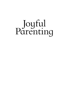# **Joyful**<br>Parenting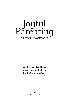# Joyful<br>Parenting FREYA DAWSON

 $=$  The Five Skills  $\approx$ to take your family from **Conflict to Connection** 

 $=$ 

ெ PeaceJoyFreedom Press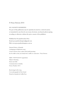#### © Freya Dawson 2015

#### ALL RIGHTS RESERVED

No part of this publication may be reproduced, stored in a retrieval system, or transmitted in any form by any means electronic, mechanical, photocopying, recording or otherwise without the prior consent of the publishers.

Published by PeaceJoyFreedom Press Email: peacejoyfreedompress@gmail.com Web: www.peacejoyfreedompress.com.au

National Library of Australia Cataloguing-in-Publication entry: Creator: Dawson, Freya, author.Title: Joyful parenting : the five skills to take your family from conflict to connection / Freya Dawson.

ISBN: 9780994366504 (paperback) Subjects: Parenting. Parent and child. Communication in families. Dewey Number: 649.1

Book design by Ky Long Cover photographs by Peter Izzard Printed in Australia by Griffin Press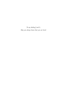*To my darling J and L. May you always know that you are loved.*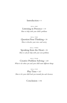#### Introduction • 9

SKILL ONE Listening in Presence • 19 *How to help with your child's problems*

SKILL TWO Question Your Thinking • 59 *How to dissolve your stress and worry*

SKILL THREE Speaking from the Heart • 95 *How to ask for help with your own problems*

SKILL FOUR Creative Problem Solving • 129 *What to do when you and your child want different things*

SKILL FIVE

Play Time • 167 *How to let your child lead you towards fun and closeness*

Conclusion • 195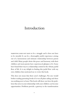## Introduction

PARENTING DOES NOT HAVE to be a struggle and it does not have to be stressful. It can be a thoroughly joyful experience arising out of a harmonious and intimate relationship between parent and child. Many people desire this peace and harmony with their children and most parents have experienced glimpses of it. Some have found their way to a relationship centred in the vibrant, joyful flow of life. It is my delight in finding this joyful flow with my own children that motivated me to write this book.

This does not mean that there aren't challenges. No-one would bother reading parenting books if it was all plain sailing and there was nothing new to learn. This book will show you how the problems that arise in your relationship with your children can become opportunities. Problems provide a gateway to the transformation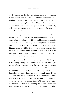of relationships and the discovery of deep reserves of peace and wisdom within ourselves. This book will help you discover relationships rich in kindness, connection and trust. It will show you how to unlearn unhelpful beliefs and habits of communication and master new ones. It will give you the skills to embrace any challenge that parenting can throw at you knowing that a solution will be found that benefits everyone.

I am not making these claims as a parenting expert with formal qualifications in this field. I am writing from the personal experience of my own journey with my children, husband, family and friends. I am not promoting any theory, philosophy or belief system. I am not painting a fantasy picture or describing how I think parenting should be. This book is all about practical skills which you can explore and test and make your own. Each of the skills presented here can guide you closer to a relationship with your children that you truly desire.

I have spent the last dozen years researching practical techniques to transform parenting from the difficult, drama-filled and hugely stressful role that it was for me in the early years into something much more peaceful and fun. I went through hard times when I felt very much out of my depth. I searched for guidance, inspiration and skills in books about parenting, communication, self-help and spiritual teachings. I was attracted to ideas and practices that were fresh, vital and easy to apply. I wasn't looking for an expert to tell me what to do or what to believe. My aim was to get past belief systems and cultural conditioning and discover a natural and spontaneous way of being with my children. I wanted to explore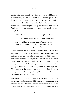#### *Introduction*

and investigate for myself what skills and ideas would bring the most harmony and peace to our family. Over the years I have found some really amazing writers and teachers. I have applied, practised and adapted the ideas and skills that they shared. I have also received wonderful gifts of help and wisdom from friends, family and the children around me. I want to pass on all these gifts though this book.

At the heart of this book are two simple questions:

**Do you want more peace and joy in your family life?**

#### **Are you willing to change some of the ways you think about and communicate with your children to find this peace and joy?**

If your answer to these questions is *Yes* then this book can help. The information presented here can be adapted to suit parents and children of any age, personality, temperament or ability. Don't be discouraged by thinking that your child or your family has special problems or particularly difficult ones. There is something here to help everyone with the willingness to try something new. You can dip in and take a little bit of inspiration or you can go for a fully fledged transformation. If you are already well on the way to finding peace and harmony in family life this book will offer you inspiration to travel even further.

At the heart of my parenting journey is the intention to choose peace as my number one goal. This is more important to me than what other people think of us or how much my children achieve. It is out of peace that joyfulness and freedom flow into our lives.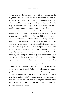It is the basis for the closeness I have with my children and the delight that they bring into my life. To discover these wonderful benefits I have explored within myself to find out what peace actually feels like. I have engaged in a deep investigation of what a truly peaceful and joyful family life is like. It is certainly not how I initially assumed it might be. Peace is something we all have within us but it will be expressed differently in each family. I imagine an infinite variety of unique family blends or 'flavours' of peace. My relationship with my children evolves and shifts all the time, so it can't be pinned down or easily described. I can clarify a few things though. I do not mean peace in the peace-and-quiet sense. The atmosphere in our home is often loud and boisterous. I do not impose an idea of quiet, polite or even calm peace on my children. When I say that I choose peace as my goal, I mean that I aim for a lack of stress, worry and complaint on my part and a love of the way things are. I find peace moment by moment as an inner calm and acceptance. This peace is always available within me. I still lose sight of it from time to time but I know how to reconnect with it.

When I talk about parenting as being joyful I do not mean this in a happy-all-the-time sense. Everyone in our family still has their emotional ups and downs, including me. Joy has a deeper, quieter quality than happiness. It is more of a constant underlying hum or vibration. It is intimately connected with the experience of aliveness, vitality and gratitude. The more strongly I am connected to these qualities the less I am affected by negative emotions when they arise. When I get upset with my children it passes quickly. We get back to harmony easily.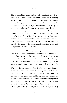The freedom I have discovered through parenting is not solely a freedom to do what I want, although that is part of it. It is mostly a freedom of the mind; freedom from the burden of constant stressful thoughts, painful feelings and family conflict. It is also the freedom to be true to myself and to follow what brings me joy. I explore what I really want in a situation rather than simply follow my initial impulse or the voice in my head telling me what I should do. It is about listening to inner guidance and aligning myself with the flow of life rather than struggling against it. As I embody this freedom in my life I can also extend it to my children. Freedom has no controlling agenda. It does not respect my plans for the future or the expectations I have of my children. It is experienced moment by moment.

#### **The journey begins**

I received the most extraordinary gifts when my children were born. These two people that came through me have beamed out love, beauty and aliveness every day of their lives. They brought such delight into my life. And living with and caring for them also challenged me to an extent that I was totally unprepared for.

When my first child was born I was blissfully ignorant and unprepared. I had not reflected on what parenting would be like and I had no adult experience with young children. I hadn't considered anything beyond giving birth and having some baby clothes and nappies on hand. In truth, I don't think information or preparation would have really helped me. It was the difficult emotions, reactions and verbal outbursts that parenting stirred up in me that proved to be my biggest challenge, not the practical task of looking after a baby.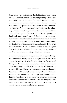As my child grew I discovered that lurking in my mind was a large bundle of beliefs about children and parenting. These beliefs were stashed away in the back of my mind, just waiting to pop up when the moment was right. They were formed out of my own childhood experiences as well as scraps of information that I had absorbed from my friends, extended family and the cultural soup in which I was stewing every day. I didn't realise it, but I had already picked up a full job description of what a good parent should and shouldn't do. It was a job description that was impossible to fulfil and yet I unconsciously committed myself to trying to be that fantasy parent. My beliefs about how children should and shouldn't behave also started to emerge from the depths of my unconscious mind. I had a soft-focus fantasy concept of a good child hiding in there. I had no idea how strong my expectations of my child were until he unwittingly failed to meet them.

In the early years with my first son, many of my beliefs brought stress into my life. I was plagued by thoughts such as *He shouldn't be crying this much*, *He shouldn't hit other children*, *He shouldn't snatch that toy*, and *He should settle into preschool so I can go back to work!*  When these thoughts conflicted with the reality of life I started to struggle with my child to try to get things to be the way I thought they should be. My attempts to teach and guide him didn't bring the results I was looking for. This brought up even more stressful thoughts. I was haunted by the belief that parents are responsible for their children's behaviour. If my child did something that others found unacceptable I was wracked with stress and anxiety. I desperately wanted to make that behaviour go away.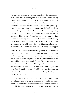#### *Introduction*

My attempts to change my son and control his behaviour not only didn't work, they made things worse. I knew deep down that my efforts to train and control him were going against the grain for me. I was horrified by some of the words that came out of my mouth and dismayed at the conflict between us. On a good day I could be kind and gentle but under pressure the harsh words just came spilling out. I started yelling at my child and exaggerating dangers to stop him taking risks. I heard myself threaten, ridicule and lecture him. Although I judged myself very harshly at the time, I know now that my reactions were all innocent. I was following the script embedded in my mind and believing it. My words and actions flowed inevitably from what I was thinking and believing. I couldn't help it. I didn't know what else to do or say. I felt trapped.

When I had another child the stakes got higher. I experienced more happiness but also more intensely stressful feelings. Being with two young children was an emotional roller-coaster for me. There were moments of great fun and delight with my husband and children. There were wonderful new friends and some lovely shared moments with extended family. And I was often trailed and enveloped by a cloud of stress and anxiety. Parenting brought struggle and conflict into my life with surprising frequency and intensity. Life was exhausting and I often woke up dreading what the day would bring.

I discovered that being in relationships with my young children brought up a surge of strong feelings about my own life and childhood. Old, unresolved emotions and stressful memories bubbled up. I felt fear, anger and grief more intensely. I became reactive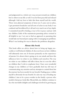and judgmental in a whole new way, not just towards my children but to others in my life as well. I was far from peaceful and relaxed although I did my best to hide this from myself and the world. There were physical symptoms of stress too: I came out in rashes, I got persistent headaches and all sorts of aches in my body. I was confused and bewildered by it all and very much out of my depth. I committed myself to finding a way to live in peace and joy with my children. Little of the mainstream parenting advice seemed at all helpful to me. I set out to find an approach to parenting that would take me beyond just coping with or managing my problems. What I was looking for was to dissolve the problems altogether.

#### **About this book**

This book offers no advice about how to bring up happy, successful, or well behaved children. It does not focus on how children will ultimately turn out. It focusses primarily on the experience of parents. It is about what is going on in our minds and how this influences how we relate to our children and ourselves. The way we relate to our children will affect them, but it is not the effect on children that I wish to emphasise here. I have seen wonderful changes in my children as I have gradually shed my old ways of communicating, my anxieties and my attempts to control them but the journey has been mostly for my benefit. Finding peace within myself is obviously for my benefit. It is also my way of leading my children. I aim to be a peace-worker in the family: a person who models what peace looks like. Meanwhile, my children continue to face the inevitable delights and challenges involved in growing up.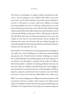#### *Introduction*

This book is an invitation to explore within yourself and to discover a way of relating to your children that reflects your own true nature and heartfelt intuition. It provides practical guidance on how to find peace no matter what your children are doing and what problems you face. I will share simple practices to raise your self-awareness and connect you with the calm, relaxed energy within yourself. All of the skills and practices presented here can fit easily into the full days of any parent. They will help you to dissolve the old beliefs and ways of communicating that create stress and conflict in your life. As your mind becomes clearer, insights and intuition that were once blocked will start shining through. Let yourself be guided by this knowing. Take from this book whatever resonates for you and leave the rest.

Each problem I encountered in my parenting journey brought its own gifts; new ways of thinking, new skills, more understanding and greater trust. I look forward to future challenges, no matter how confronting they may initially appear to be, knowing that we can find the way through to a solution. Each of the five skills in this book provides a method of resolving problems between you and your child (or children) and dissolving stress and struggle in your family life. I recommend that you work through each skill in sequence and give yourself some time to practise each one before you move on to the next. The later skills build on the earlier ones.

Skill 1 is a tool for helping your children with their problems. I call it *Listening in Presence*. I explore what it means to be fully present with your children and share tips for noticing and dissolving your old habits of reacting. Instead of reacting and communicating out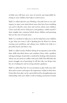of habit you will learn new ways of actively and respectfully listening to your children that help to restore peace.

Skill 2 is called *Question your Thinking*. I describe how to use selfinquiry to open your mind about issues that have been troubling you and to dissolve your stress and worries about your children. I have used this tool to find peace and guidance within myself. I share insights into common beliefs about children and parenting that are the root of much stress.

Skill 3 is a method to help you to ask for help from your children to get what you want. I call it *Speaking from the Heart*. It is about owning your problems and asking your children for help in a peaceful, honest and direct way.

Skill 4 is called *Creative Problem Solving*. It incorporates each of the three skills described above and combines them with a problem solving technique. It provides a method for dealing with situations where you are stuck in conflict with your child. This skill takes the power struggle out of parenting. It will also take you deeper into the art of asking for and receiving intuitive guidance.

Skill 5 is called *Play Time*. It is an invitation to play with your children and to notice and respect the importance of play in their lives. It describes how play can be a powerful tool for strengthening your relationship with your child as well as healing emotional wounds.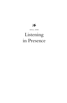$28$ 

SKILL ONE

# Listening in Presence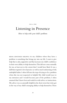#### SKILL ONE

# Listening in Presence

*How to help with your child's problems*

Being genuinely helpful to my children when they have a problem is something that brings joy into my life. I want to give help that is calm, supportive and that increases my child's confidence in their own ability to help themselves. This did not come naturally for me, at least not to the extent that I would have liked. It was a skill that required a lot of practice as well as much unlearning of old, unhelpful habits. I often fell into the trap of trying to fix a problem when this was not requested or helpful. My child would react to my intrusion and I would become part of the problem. I often assumed that I knew best and waded in with advice or instructions. My advice was occasionally helpful in the short-term but it also got in the way of my child's emerging ability to help themselves. There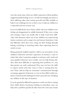were also many times when my child's expression of their problem triggered painful feelings in me. I would unwittingly join them in their suffering rather than remain peaceful and fully available to help. It was challenge for me to find a way to help my children in a respectful and non-reactive way.

It was not difficult for me to listen calmly when my children were feeling sad, disappointed or mildly frustrated. If they were crying and wanting a hug I was usually able to help. I had more difficulty with situations where one of my children was experiencing intense emotions such as anger, fear and intense frustration. I also had difficulty when they were acting out their feelings through hitting, scratching or snatching rather than expressing them in words or tears.

Being genuinely helpful required a shift in my perception of my children's behaviour and their expression of emotion. I came to realise that what I sometimes judged as tantrums, rude words and unacceptable behaviour were actually cries for help. Young children often have difficulty in expressing their problems in a way that parents can easily understand. They may not have the skills to express clearly what they want or what is causing them distress. Their calls for help are sometimes communicated through screaming, aggressive behaviour or even in hate-filled verbal outbursts. I found myself challenged to find a peaceful way of helping my children in this type of situation.

It can be genuinely difficult for parents to work out what is causing their child's distress. Sometimes finding an immediate cause can help solve a problem quickly. At other times the cause may remain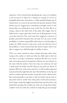unknown. I have learned that identifying the cause of a problem is not necessary in order for a solution to emerge. It can be an unhelpful distraction. Sometimes a child's painful feelings may be related more to events in the past than the present situation. Their distress may be triggered by something seemingly minor in the present like not cutting their toast exactly the way they like it, or seeing a dog on the other side of the park. This trigger may be followed by a major upset that seems out of all proportion to the event that started it. The event may have triggered a memory of painful, unresolved emotion from the past. If I am aware of this possibility I can listen respectfully rather than try and downplay or negate my child's reaction. I may never work out what the root of the problem is. I have learned that this doesn't matter when I am able to support my child through my ability to listen.

There are many situations where simply listening, rather than trying to fix, soothe or work out what my child wants is the best way that I can help. I witnessed a situation like this on a recent inter-city train journey. A young boy of about one year old got on the train with his mother. Once the train was underway he had a drink from his bottle and fell asleep in his pram for about 15 minutes. When he woke up he started to cry. His mother appeared anxious about this right from the start. She held him on her lap and tried to comfort him but he kept crying. She tried to distract him. She tried repeatedly to get him to take his bottle and go back to sleep. She tried to soothe him with gentle words and reassurance but he kept crying. She jiggled and patted him, put him down and picked him up again. He couldn't say what was wrong. His mother couldn't work out what she could do to help. She got increasingly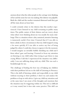anxious about what the other people in the carriage were thinking of her and the noise her son was making. Her distress was palpable. Both the child and the mother remained distressed until they got off the train about an hour later.

I could certainly relate to the distress that this mother experienced. I have listened to my child screaming in public many times. The public nature of their distress and my worry about what others were thinking about me was usually the main challenge. This is a situation where calm, sustained, attentive listening is immensely useful. Over time I learned that if I was able to listen calmly in these circumstances that my child stopped crying a lot more quickly. If I was able to notice my fear of being judged by others I could also choose to ignore it for the moment. I would imagine an invisible bubble shielding my child and I from others' gaze and hearing. I learned to focus my attention on listening to my child rather than trying to get them to stop crying. When I did this I experienced the situation very differently. I was not suffering along with my child. This was such a breakthrough for me.

The challenge of finding the best way of helping my children with their problems led me to the skill of Listening in Presence. This is the skill of listening calmly and respectfully to my child without reacting to their problem. I don't try and analyse the problem or leap in with advice. I give my child my attention and at the same time I am aware of the thoughts and emotions that the situation may be triggering within me. This isn't as difficult as it may sound, but it does take some practice. This skill can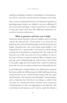transform something as ordinary as responding to a screaming oneyear old on a train into a special moment of intimacy and caring.

I have come to understand that the most important ingredient in providing genuine help to my children is my own wellbeing. If I am not peaceful and happy I cannot extend this to my children. I cannot give what I don't have. My wellbeing is intimately connected to awareness and presence.

#### **What is presence and how can it help?**

I had never heard of presence when my children were very young and my life reflected this. I lived mostly in my head and was pulled into the swirl of stressful thoughts, emotional reactions and regular exhaustion that came with raising young children. I was trying hard to be a "good mother" and was lost in all the fussing, coaxing and worrying that accompanied this. The wake-up call from this way of life came from one of my children. It came in the form of intense emotional outbursts. Waves of despair, terror and rage came crashing through my walls of reserve and control. I was totally caught up in the tumult. How could it be otherwise when this was such an intimate and precious relationship for me?

I tried really hard to respond calmly to my child's intense emotions but I just couldn't do it. Witnessing my child's suffering stirred up strong reactions in me. I found myself reacting with fear, anger and frustration. I felt intensely uncomfortable. I wanted desperately to help him but I felt that I was failing. I couldn't work out what was causing such intense emotion and it seemed out of all proportion to what was happening in our daily life. I felt overwhelmed and desperate and I tried to mask this behind a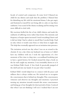facade of control and composure. At some level I blamed my child for my distress and made him the problem. I blamed him for disturbing my life with his emotional drama. I also got angry and frustrated at myself for not being able to calm or stop these outbursts. I was scared of the drama escalating and becoming even more difficult to deal with.

My reactions fuelled the fire of my child's distress and made the outbursts of suffering worse rather than better. The intensity and frequency of major upsets increased. I tried everything I knew and it did not help. I had to admit to myself that I needed help. I had no idea where it would come from or what form it might take. The help that eventually appeared was an invitation into presence.

The invitation arrived one day when I was on an errand to the chemist. It was a day when my husband was at home so I didn't have my children with me. I took the opportunity of a few moments of free time to drop into a secondhand bookshop just to have a quick browse. As I looked around the shop a book on the far wall caught my attention. I was irresistibly drawn to it. It was Eckhart Tolle's book *A New Earth*. It practically jumped of the shelf and into my hands. It was just what I needed.

Eckhart Tolle's words helped me to connect with the peace and stillness that is always within me. He invited me to recognise the consciousness that is behind my thoughts. This consciousness witnesses and observes my thoughts and emotions. I practised turning my attention inwards towards this aware consciousness and letting go of my thoughts for short periods of time. I noticed that when I am not thinking *I still exist*. I realised that I am not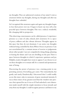my thoughts. They are ephemeral creations of my mind. I exist as awareness before my thoughts, during my thoughts and after my thoughts have subsided.

As I recognised this awareness again and again my thoughts began to lose their power over me. I began to know my true self as the peaceful space between thoughts. This was a radical, wonderful, life-changing shift in perspective.

This observing-consciousness can be called presence. I experience presence as a state of calm, relaxed, alert awareness. It is a space of peace, stillness and also vibrant aliveness. Thoughts appear in this space but they do not dominate. I can notice my thoughts without being controlled by them. When I focus on presence I am not overwhelmed by a constant stream of worries or judgements about other people. I am not compulsively doing things, planning or fearing the future and I am not dwelling on the past. There is space between thoughts in which I experience quietness and joy. Helpful, creative thoughts have room to appear. I can choose to act on these thoughts or to remain still. It is a natural and spontaneous state of being.

Discovering the power of presence was a turning point in my parenting journey. Everything got easier. Not immediately, but gently and surely. Paradoxically, I discovered that I could readily access this inner calm in moments of great emotional intensity. It was at these times of my greatest need that the window into presence first opened for me. It was as if I had unlocked a new dimension inside myself with the simple intention to focus inwards and away from my thoughts. I could recognise presence and listen to my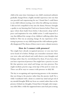child at the same time. Listening to my child's emotional outbursts gradually changed from a highly stressful experience into one that was peaceful and empowering for me. I found that I could listen to my child without reacting, even when his suffering was intense. I did not feel compelled to buy into the drama. Presence brought a quality to my listening that I had never known before. There was space where there hadn't been before. I discovered a deep well of peace and inspiration for wise, skilful action. I could respond in a way that diffused the energy of my children's suffering rather than fuelled it. This was an amazing change. As my experience of listening in presence to my child deepened the wild outbursts gradually disappeared. The drama of those years is now a distant memory.

#### **How do I connect with presence?**

You might have already recognised presence or you may have never heard of it before. Perhaps you remember moments when you were calm and relaxed and could observe your thoughts and feelings rather than be overwhelmed by them. If you have, then you have experienced presence. You might have a practice in your life that quietens your mind and brings you into presence. You might meditate, practise yoga, swim laps of the pool or create art. These can all be ways to connect with presence in daily life.

The key to recognising and experiencing presence is the intention that you bring to the practice rather than the practice itself. For a while I meditated with a desire to control my mind and get rid of my stressful thoughts. With my focus on control, rather than on the presence behind my thoughts, I found that it brought only temporary relief. After a while the suppressed stress came back just as strong.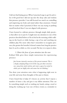I did not find lasting peace. When I practised yoga to get fit and relax it felt good but I did not tap into the deep calm and wisdom that presence provides. I was still focused too much on controlling and improving my body and mind rather than awareness. I found that no matter what I practised, if there was any trying or pushing myself involved then I was not aligned with presence.

I have learned to cultivate presence through simple daily practices that allow me to just *be*. I might turn my attention to one of the practices described below as I lie in bed in the morning, while walking on the beach or while having a cup of tea and watching my children play. The more often that I remember to recognise presence, the greater the benefits. It doesn't matter how long the practice lasts. It can be as little as a few seconds. The key is to repeat it often.

*1. Direct the focus of your attention into the now* Eckhart Tolle gives these simple instructions for experiencing presence:

*Just become intensely conscious of the present moment. This is a deeply satisfying thing to do. In this way, you draw consciousness away from mind activity and create a gap of no-mind in which you are highly alert and aware but not thinking.* <sup>1</sup>

You draw your attention onto what is happening right now in your life and away from thoughts of the past or future.

I have found that it helps if I choose an activity that I repeat a number of times a day and give it my fullest attention. This can be something simple such as washing my hands, eating a meal or doing the washing up. I use one of these events as a reminder to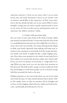experience presence. I focus on my senses; what I can see, hear, touch, taste and smell. Sometimes I focus on my breath. I aim to immerse myself fully in this experience of Now. I pay attention to the tiny details and take care in my actions. When I notice thoughts coming into my mind, I gently remind myself to focus on my senses. As I focus in this way, my mind quietens, and I can experience the stillness and peace within.

#### *2. Connect with your inner body*

Are you aware of your inner body, of the field of energy within and around your physical body? Connecting with this inner body is a wonderful gateway into presence. You might like to try this exercise: close your eyes and take a few deep, relaxing breaths. Begin to shake your hands vigorously. Stop shaking and bring your attention to the sensations in your hands. Feel the energy and aliveness inside your hands. It might feel like a subtle tingling sensation. Now direct your attention to the whole of your body. Feel it from within. Can you feel this aliveness within your whole body? If you can, feel it in all parts of your body as a single field of energy. When you open your eyes can you keep your attention on this aliveness? This field of alive energy is not just within the body but surrounding it as well. Some people can see or feel the energy field that surrounds the body as the aura.

Holding attention on my inner body draws me out of my mind and reveals the space of calm, relaxed alertness that is always within. The simple choice to take my attention off my thoughts and to focus on that tingling, radiant aliveness within my body has become a profoundly powerful practice for me.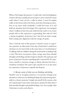When I first began this practice I could only catch brief glimpses of inner aliveness, usually just in my legs or arms. I noticed it most easily when I went out for a walk in nature. I went for regular walks on the beach and in the forest, each time drawing my attention to my inner body. Gradually I could feel more of it and hold my attention there for longer. The experience was strongest when I walked in bare feet and could feel the earth or sea. Some people refer to this experience as grounding. Not only do I feel a strong recognition of presence but I also feel my inner energy field coming into alignment with the energy of nature.

Once I had the feel of this practice I found it easier to experience presence in other parts of my day. I found that I could focus attention on my inner body at the same time as I was listening to or talking with my children, doing the housework or dealing with a crisis. This focus on presence draws energy away from stressful thoughts and feelings and they begin to dissolve. The quiet joy and peace of presence became something that I yearned for. To experience myself as conscious energy, as vibrant aliveness has been a wondrous revelation. The more I give myself over to it, the more my experience of presence expands and deepens.

*3. Become aware of what you are thinking and feeling* Another way to recognise presence is to practise turning your attention to what you are thinking, feeling and experiencing internally in a chosen moment. I simply ask myself *In this moment, what am I experiencing?* I may notice inner peace and joy. At other times I find stressful thoughts and painful feelings. I try not to judge what I find, just to notice and observe.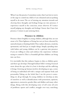When I use this practice I sometimes notice that I am lost in worry or the urge to control my child or I am exhausted and yet pushing myself to do more. The act of turning my attention inwards and *observing* these thoughts and feelings brings me into presence. I experience myself as the conscious, aware observer. If I notice myself judging my thoughts and feelings I know that I have lost presence. I return to just noticing them.

#### **Presence in children**

Presence shines brightly in young children, although they are not aware of it. Their lightness of being has not yet been obscured by unresolved pain or limiting beliefs. They radiate aliveness, creativity, spontaneity and find joy in simple things. Simply spending time with babies and young children can be a gateway into presence if you are willing to relax and embrace the experience without trying to control it. This is a beautiful gift that children can bring into our lives.

It is inevitable that this radiance begins to dim as children grow and their ego develops. Through Eckhart Tolle's writing I learned more about the ego; what it is, how it develops and the suffering it brings. Growing up human involves developing an ego, a sense of being an individual self with a unique and separate body and personality. Taking on the belief that *I am this person* is something we all go through. As young children we develop an idea of ourselves as well as identifications with possessions, opinions, appearances, memories, gender, likes and dislikes and many other things. Along with this developing sense of self come all sorts of problems: upsets and conflict, struggle over toys, snatching,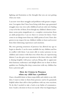fighting and frustration at the thought that you are not getting what you want.

I can now view these struggles and problems with greater compassion. I recognise that I have been living with these ego-generated struggles since my own early childhood and am only now finding a way to be free of them. Even though my children's distress sometimes seems petty, insignificant or a complete overreaction from an adult perspective, I can see that it is serious for them. I have come to see things more from my child's point of view. I have also grown in my respect for my children's ability to learn and recover from their distressing experiences and emotions.

My own growing awareness of presence has allowed my ego to begin to dissolve. I can be more available for my children and less in conflict with them. I am more able to notice presence in my children and connect with that even when they are experiencing distress. I can also give more attention to the times when my child is shining brightly with peace and joy. Being able to appreciate their humour, exuberance and delight allows me to share in these qualities too. Finding this deep connection with my children has been a precious gift.

#### **How do I Listen in Presence when my child has a problem?**

I have a heartfelt desire to listen respectfully and calmly to my children. I want to relate to them from presence and to be genuinely helpful rather than add to their problems with my own reactions. To do this I needed to take a look at my habits of communication. I made a decision to focus on exactly what was happening in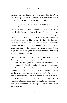situations where my children were experiencing difficulties. What had I been saying to my children when they came to me with a problem? What was getting in the way of my listening?

#### *1. Notice how your reactions get in the way*

I noticed that when my child was upset I often spoke and acted without pausing, as if I was on automatic pilot. I noticed that I reacted. A lot. By reaction I mean that something arose in me to meet my child's words or actions that was charged with negative emotion. In some situations I was overcome with the same sort of feelings that my child was experiencing. I felt their sadness or disappointment acutely. In other situations my reaction to my child was angry, impatient or dismissive. My reactions were varied, depending on what emotions were triggered in me. Getting caught up in my own negative emotion prevented me from being able to really listen to my children.

Inspiration to improve my listening skills came from the book *Parent Effectiveness Training* by Thomas Gordon. This amazing, groundbreaking book, published in 1970, was introduced to me by my mother. She bought it and used some of his suggestions when I and my siblings were teenagers. It remains a classic that I have read and learned from many times. Thomas Gordon uses an exercise to help parents recognise what kinds of verbal responses they use when their kids come to them with feelings or problems. 2 I have modified his examples to reflect current issues and language. I found this exercise to be a very helpful tool for raising my awareness of what I was habitually saying to my children. I invite you to try it too.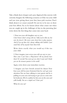Take a blank sheet of paper and a pen. Approach this exercise with curiosity. Imagine the following scenarios as if this was your child and you were giving them your first, knee-jerk reaction. Don't think about it or censor yourself. Do not try to be nice or show your best efforts. Try to be honest about what comes out when you are caught up in the challenges of day-to-day parenting. Just write down the first thing that comes into your head.

1. Your ten-year-old daughter says to you: *I don't know what's wrong with me. Sally used to like me, but now she doesn't. She never comes down here to play anymore. And if I go up there she's always talking with Isabelle. I just stand there all by myself. I hate them both.*

Write down exactly what you would say if this was your child.

2. Now imagine your seven-year-old son says to you: *How come I can't have a Playstation? All my friends have them! It's not fair! You never get me what I want and I think you are the meanest parents in the world!*

Again, write down your immediate reaction.

3. Imagine you have friends around for dinner. Your four-year-old becomes frustrated that he can't get your attention. You are busy talking to your guests and he is pulling on your arm and trying to get you to come into his bedroom. All of a sudden he hits you on the arm and yells loudly *You are a stupid cow! I hate you!*

What do you say?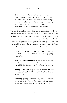4. Can you think of a recent instance where your child came to you with upset feelings or a problem? Perhaps you have a toddler who has a tantrum when they get over-stimulated or frustrated or a teenager who is struggling with peer relationships or the burden of homework. What do you say to them? Write it down.

Thomas Gordon lists twelve different categories into which parent's reactions can fall. He calls them the *Typical Twelve*.<sup>3</sup> These are listed below (with some adaptation). Take the responses you wrote down on your sheet of paper and try to classify each into whichever category fits your response best. While you do this, you may also like to circle the type of response you are most likely to make when any sort of trouble arises with your children.

- \* **Ordering, Directing, Commanding:** *Stop crying, Don't talk to your mother like that! Stop complaining! Just go back and play!*
- \* **Warning or threatening:** *If you do that you will be sorry! Say that one more time and you will be sent to your room! If you talk like that about those girls they will never play with you.*
- \* **Telling them what they should or should not do:**  *You shouldn't act like that. You ought to do this…, You must respect your parents.*
- \* **Advising, giving solutions:** *Why don't you ask Sally and Isabelle to play down here? All right! I will buy you one for you next birthday! Why don't you sit down and watch TV?*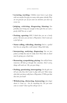- \* **Lecturing, teaching:** *Children must learn to get along with one another. You play too many video games already. They are not good for you. If you want our attention you must say excuse me.*
- \* **Judging, criticising, disagreeing, blaming:** *You probably aren't being nice enough to those girls. You are such a greedy child! You are so rude!*
- \* **Praising, agreeing:** *Well, I think that you are a lovely person. Of course you can have a Playstation. I don't want you to feel left out.*
- \* **Name-calling, ridiculing, shaming:** *You're a spoiled brat. You are acting like a wild animal. Okay, little baby.*
- \* **Interpreting, analysing, diagnosing:** *You are just jealous of Sally. You must be really tired. Those kids at school must be giving you a hard time.*
- \* **Reassuring, sympathising, pitying:** *You will feel better tomorrow. All kids go through this sometime. Don't worry, things will work out. Oh, you poor thing*…
- \* **Probing, questioning, interrogating:** *Do the girls ever tell you why they don't want to play with you? How many other kids you know really have a Playstation 3? Who put that idea into you head?*
- \* **Withdrawing, distracting, humouring:** *Just forget about it. Come on – lets do something else. Do you want some ice cream? Cheer up. You will get over it.*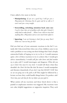I have added a few more to his list:

- \* **Manipulating:** *If you are a good boy, I will get you a Playstation for Christmas. You be quiet and let us talk or I won't read you a story tonight.*
- \* **Storytelling, switching attention back onto me:** *I used to have that sort of problem with other girls. I found it really hard to make friends…. When I was a kid we never had anything like a Playstation and we were much better off for it.*
- \* **Ignoring:** *I am not listening to that! Just go away. Don't bother me. I am too busy for this!*

Did you find any of your automatic reactions in the list? I certainly did. I discovered that when one of my children came to me with a problem or was acting out their feelings that I had a deeply entrenched habit of leaping in to try to fix it. I would summon quite a few of these reactions to try to achieve this. I would give advice immediately; I would yell *Just calm down and find another toy to play with!* I would interrogate and diagnose: *What did you say to him?, You must be very tired.* I would tell them what they shouldn't do: *Don't hit him like that!* At times I would manipulate and threaten shamelessly: *If you don't stop that RIGHT NOW then we are not going out to the park at all!* This might be followed by a lecture on how they could handle things better: *For goodness sake! Next time, just ask him for the toy before you just grab it.*

What unities all my reactions and those listed above is that a painful or unpleasant emotion was triggered. My reactions were not calm, helpful suggestions or supportive inquiries. They each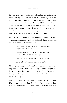held a negative emotional charge. I found myself feeling either wound up, tight and irritated by my child or feeling sad, disappointed or helpless along with them. At the time I explained my reactions as a simple desire to help my child. The more closely I examined the situation the less this stood up to scrutiny. The fact is, my reactions rarely helped fix my child's problem. My child would inevitably pick up on my anger, frustration or sadness and react to that, just making the whole situation worse.

As I became more aware of my reactions I also realised that there were thoughts associated with my difficult feelings. Underneath each reaction was a thought such as:

- \* *He shouldn't be carrying on like this. He is making such a big thing out of nothing!*
- \* *I am so embarrassed when he has a tantrum in public. What will those other parents think of me?*
- \* *I really need a quiet day today. I can't handle this now!*
- \* *It is so unbearably sad when a pet you love dies.*

Noticing the thoughts underneath my reactions has been very important for me. The simple noticing of these thoughts has helped to release their grip on me. I have also learned to question thoughts that bring stress into my life. This skill will be introduced in the next chapter.

My reactions were a bundle of thoughts, feelings, words and actions. I had learned these reactions from things that were said or done to me as a child or that I heard others say or do to their children.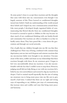At some point I chose to accept these reactions and the thoughts that came with them into my consciousness even though I was largely unaware of this. These learned or conditioned thoughts turned into beliefs. I built my understanding of the world around these beliefs and I shaped my own communication around them. Like most people, I developed deeply ingrained habits of communicating that flowed directly from my conditioned thoughts. It seemed so normal to speak to children in this way because we share much of our conditioned thinking with our family, friends and community. Our reactions are often so familiar to us that we hardly notice them. They have passed like a virus down the generations and through our social networks.

One of gifts that my children brought into my life was that they challenged me. Their way of being, combined with constant sleep deprivation, sent me into such frequent and extreme reactions that my unconscious habits were brought to my attention. I became aware of the stress, conflict and strain on my relationships that these reactions brought with them. As my awareness grew I began to feel very uncomfortable about my reactions. I was also uncomfortable with the fact that I couldn't seem to stop them. However, judging myself did not help. Being at war with my reactions fed a belief in my own unworthiness and seemed to dig my reactivity in deeper. I had to remind myself repeatedly that the aim of raising my awareness was to bring more peace into my life, not to give myself a hard time. I realised that there are no right and wrong ways of responding to my children, just ways of communicating that increase stress and conflict and ways that bring more peace and harmony.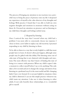The process of bringing my attention to my reactions was a powerful way to bring the peace of presence into my life. I deepened my experience of myself as the calm observer of my thoughts and feelings. With practice I found that I was able to hold my own negative thoughts and emotions in awareness without acting on them. As I focused my attention on presence and on listening to my child these thoughts and feelings melted away.

#### *2. Respond by listening*

Once I noticed the ways that I reacted when my child had a problem I was more able to consciously choose my response. I chose to form a new habit to replace my old reactivity. I practised responding to my child by listening to them.

To be able to listen in a way that is truly helpful is a skill that most people have to learn. It doesn't often just happen, although some people may be gifted with this ability. This listening arises out of calm state of being that is not cluttered with thoughts and emotions. The most effective way that I know of finding this state of being is to connect with presence. When my child is upset I take a moment to collect myself before I say or do anything. This only takes a few seconds and yet it changes the energy and intent of my listening in a profound way. It is the most useful and life-changing habit I have ever formed. It is not just helpful in situations when my child is distressed. I can use this simple practice whenever my child wants my attention. I also use it when listening to other adults. It not only benefits these relationships, it is a wonderful gift to myself.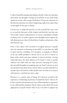I collect myself by pausing and taking a breath. I relax my attention away from my thoughts. I bring my awareness to my inner body and focus on the calm energy I find there. I focus my attention on the present moment, on what is happening right now, rather than on thoughts of the past or future.

I invite you to adapt this practice to suit yourself. You may want to re-read the first part of this chapter and find the way that you most easily connect with presence. It can be something as simple as taking a few seconds to ignore your thoughts and recognise the still, silent presence that is behind them. Explore and practise what feels best for you.

Once I have taken a few seconds to recognise presence I gently turn my attention to listening to my child. I accept that my child is upset and has a problem. If I recognise an impulse to dismiss or fix my child's problem I choose not to act on it. I choose to listen with a fresh and open attitude. I want to provide a loving, respectful space for their distress to be heard. I want to gently embrace my child with my calm, attentive listening. If I notice that stressful thoughts are popping into my head I choose to turn my attention away from them. I know that I can deal with these at another time. If I need to, I take another few seconds to reconnect with presence and find my inner calm.

Presence is a creative state of being. If I immerse myself in the experience of listening in presence I intuitively know what to do. I find a natural and spontaneous way of listening that is responsive to my child and the situation. I know when to stay silent. If it seems appropriate to speak I know what to say. I am able to support my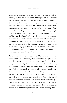child rather than react to them. I can support them by quietly listening to them cry or tell me what their problem is, waiting for them to calm down and find their own solution. Sometimes I hold them in a gentle embrace. I do not try to get them to stop crying or distract them from their problem. I create a space in which they can calm down and soothe themselves. If it seems helpful I draw my child into a deeper exploration of their problem using simple questions. Sometimes I offer suggestions about possible solutions making sure that I don't tell them what to do. I might share my own experience with a similar problem (without switching the attention back onto me). A practical solution to my child's problem may appear that resolves the upset: they agree to a suggestion of mine, their sibling gives them back the toy they took or someone else steps in with an idea or a hug. Each child and each situation is unique and the solutions will reflect this.

When my children are very upset they like me to listen in presence and say little or nothing at all. They value the space to cry, complain, blame, express their feelings and generally let it all out. They can say hateful, judgemental things about others or about me, knowing that I will not react with judgement. They can express their feelings openly as I sit with them giving them my full attention. If they ask for help and there is something practical I can do for them I will do it. Often they don't ask. They finish expressing themselves, get up and get on with their lives. They find a way of calming themselves and solving their own problems internally. I can tell that their energy has shifted and that they no longer believe what they had been saying a few moments before. It is wonderful to witness them resolving their own problems in this way. It feels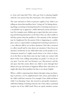so clean and respectful. They often get back to playing happily with the very person that they hated just a few minutes before.

The same intention to listen in presence applies if my child is not telling me about their problem, but is "acting out" by hitting, throwing things, screaming or hurting themselves. Listening in presence is a wonderful way to approach a child's distressed actions and behaviour. For example, some children get so upset that they start screaming and throwing themselves on the floor. They are often unable to tell their parent what the problem is. The intensity of the situation may be heightened for the parent if this is happening in a public place such as a supermarket or playground. Listening in presence is a very effective skill to use in these situations. I first take a moment to collect myself and be clear about my intention. I then focus my attention exclusively on my child rather than on the people or environment around us. I might crouch down to be closer to them, sit on the floor or take them onto my lap. I make eye contact with them if they were willing and perhaps say gently *I see that you are very upset. I am here and I am listening to you.* My presence and the safe space that this creates allows my child to move through their distress, let it go and return to happiness. When they calm down we might talk about their problem but this is not always helpful.

When a child is expressing their distress through acting out, listening in presence can be supplemented with action, particularly if the child could hurt someone. For example, I have deflected blows while I am listening. I have also moved in and gently restrained a child from hitting or hurting someone else. I have taken a potential weapon out of my child's hand. These are quick, intuitive actions.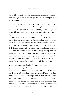They differ in quality from the automatic reactions of the past. They have no negative emotional charge and are not accompanied by judgement or anger.

Sometimes I have even managed to turn my child's distressed actions into the start of a game. For example, if they are lashing out at me in anger or frustration I might feign my own injury or terror. Playfully acting as if I have been hurt, offended or scared by their actions can sometimes shift the energy of the moment in a helpful way that allows the problem to dissolve or the child to move from expressing anger to feeling the hurt that lies underneath it. The lashing out may dissolve into tears and a desire for a hug. This playful response is not always helpful, especially if a child feels they are being made fun of, but I am guided by my intuition as to how and when it might help. I have also picked up some tips from Lawrence Cohen in his wonderful book *Playful Parenting*. He describes how parents can use play in this way to help reestablish a connection with their child. 4 Skill 5 introduces more detail about using play as a way of helping children with their problems .

I was given some very loud and dramatic invitations to listen in presence before I got the hang of it. Listening to intense emotional expression and physical acting-out was a big challenge for me. Eventually I realised that what was required from me in these situations was a state of intense presence that matched the intensity of my child's distress. I focused intense attention on my own inner body, drawing attention away from my mind. In doing this, I turned up the volume of my awareness and presence. It was a way of putting myself on high alert (but not the fear-induced kind). I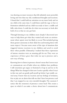was drawing on inner resources that felt infinitely more powerful, loving and wise than my old, conditioned thoughts and reactions. I found that I could hold my attention on my inner body and on my child at the same time. I could listen until the rage or fear or frustration subsided and my child was ready to have a cuddle and fully calm down. I could also do what was necessary to look after both of us so that no one got hurt.

Through listening to my children more deeply I discovered new ways to help them get what they wanted and create an environment where upsets were less likely to occur. This included giving them greater autonomy in their daily lives and treating them with more respect. I became more aware of the type of situations that triggered intense reactions in my children and acted to avoid these when possible. Ultimately, I realised that these expressions of intense emotion were an amazing gift for me. They were an experience of fierce grace that woke me up to presence and a new way of being.

Knowing how to listen in presence doesn't mean that I never react or communicate out of habit when my children have problems. I still sometimes get angry or frustrated or leap in and try to fix things. What has changed is that now I notice quickly when I react in this way and can gently pull myself up before I get totally carried away. I know that my reaction and my feelings of irritation, fear or pity are an alarm that tells me that I have lost presence and that I am trapped in my own stressful thoughts. The moment I notice this the awareness of presence comes back. This creates a space in which I can make a choice about how I communicate.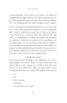I usually apologise to my child if my reaction was unkind or unhelpful and start again. This has been a liberating experience for me. I have apologised many, many times. I have found my children to be very forgiving and it has always brought us closer together.

There is no formula for listening in presence. To create one would rob it of its natural spontaneity. However, as I was learning this skill I found it useful to have some ideas of what to say instead of my normal reactive statements. These ideas helped to fill a gap while I was unlearning my conditioned reactions and deepening my experience of presence. It was great to have something to get me started with a new way of communicating with my children. I found the skills presented by Thomas Gordon in *Parent Effectiveness Training* 5 and Marshall Rosenburg's *Nonviolent Communication* 6 to be particularly helpful. I have taken what was most useful to me from these writers and I give some examples below.

#### *3. Simple door-openers*

If you want to practise listening to your children in a new way try using a simple "door-opener." These are responses that invite your child to talk or to just continue to cry if that is what they need. They can be very useful if your child is reluctant to talk or is used to being shut down by your reactions. The simplest of these can be:

- \* *I see.*
- \* *Oh.*
- \* *That's interesting.*
- \* *I understand.*
- \* *I am sorry that you are so upset.*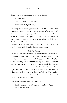Or they can be something more like an invitation:

- \* *Tell me about it.*
- \* *Would you like to talk about that?*
- \* *This seems to be important to you.*<sup>7</sup>

For young children this type of invitation seems to work better than a direct question such as *What is wrong?* or *Why are you crying?* Perhaps this is because young children may not have enough selfawareness to answer these questions. They might not know what is wrong or they might not be able to put it into words. There is also the possibility that a more direct question may put a child on the defensive or be interpreted as an accusation that something must be wrong with them for them to be so upset.

#### *4. Active listening*

A technique that really helped me to dissolve my old habits of communicating is active listening. Active listening is particularly helpful when children really want to talk about their problems. The key to active listening is to listen to the feelings and wants underneath what is being said by my child rather than the words that they actually used. This understanding can then be reflected back to them. It gave me a way of demonstrating to my child that I was listening as I reflected back to them what they were feeling and/or wanting. They felt heard by me and this created a space in which they could express their feelings more fully.

Here are some examples of active listening:

Child: *I really have a terrible teacher this year. I don't like her. She is a real old grouch.*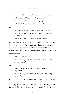Parent: *Sounds like you are really disappointed with your teacher.* Child: *I sure am. I hate the way she yells at us.* Parent: *You would like her to talk more gently?* Child: *YES!! She is so loud and grumpy that it hurts my ears!*

Or

Child: (crying) *Jimmy took my truck away from me. I hate him!* Parent: *You are really upset and angry about that. You want your truck back.* Child: (crying even more) *I want my truck back!!!*

It often helps if I reflect back to my child as a question. This is because we often make assumptions about what we hear. If I reflect back in my own words what I think my child is feeling and wanting then they have an opportunity to correct me if I have misunderstood:

Child: *You don't care about me!*

Parent: *Are you feeling hurt because you want me to notice how upset you are?*

Or

Child: *Daddy's coming! I don't want him to see me! He is nasty and evil!*

Parent: *Are you feeling scared because you think that Daddy is angry with you?*

If I tune in to the feelings and wants that my child is expressing rather than what they are saying, I am less likely to blame myself by taking the message personally, or to blame and judge them.<sup>8</sup> Practising this technique has been so liberating for me. My child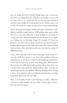may be saying all sorts of hateful things about me or someone else and I can simply listen for what they are feeling. I can say, *You are angry with me* or *I understand that you are frustrated*, instead of reacting. I don't judge the words spoken by my child because I can see that the words are simply an expression of emotional suffering.

Active listening encourages children to express themselves more fully so, initially, I might find my child getting more upset, rather than less, as they give full vent to their feelings. It can bring on crying and other physical expressions of emotion. They might start hitting out or throwing things, for example. If I listen in presence and take steps to keep everybody safe this becomes a healing opportunity for my child. Once they have expressed their stuck emotion they calm down and move on with no residue of difficult feelings.

If my child responds well to active listening I keep using it at intervals while they speak to me about their problem. This can help them get to the heart of what is really bothering them. I have found that the real issue is often something quite different from the one that my child started talking about. Many times there was a deeper hurt underneath the initial problem. There may also be underlying fears that my child has difficulty dealing with. Creating a space of acceptance and non-judgemental listening can help bring these deep fears into the light.

Here is an example of how active listening can help a child find a solution to their problem. In one of the scenarios given above a ten-year-old was saying: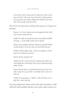*I don't know what's wrong with me. Sally used to like me, but now she doesn't. She never comes down here to play anymore. If I go up there she's always talking with Isabelle. I just stand there all by myself. I hate them both.*

This is how the interaction could go if the parent was using active listening:

Parent: *I see! You're feeling sad and disappointed that Sally doesn't want to play with you.*

Child: *Yes! Sally was my friend and now she just likes Isabelle!*  (Crying....) *I want Sally to play with me again!!*

Parent: *Are you feeling sad because things have changed? Would you like things to be the way they were with Sally and you?*

Child: *I would!!* (still crying...) *But she's changed too. I don't know if I even like her any more!*

Parent: *She has changed a bit?*

Child: *Yes! She is only interested in talking about clothes now. And I think that is* SO *boring! I don't want to talk about boring clothes all day!*

Parent: *Sounds like you are frustrated because you want somebody to play the way you like to and Sally doesn't want to do that now.*

Child: *Yes.* (long pause...) *Maybe I could ask Penny over to play. She is much more fun.*

Of course, things don't always resolve that easily. Sometimes a child will be left with a problem that they can't resolve easily on their own.